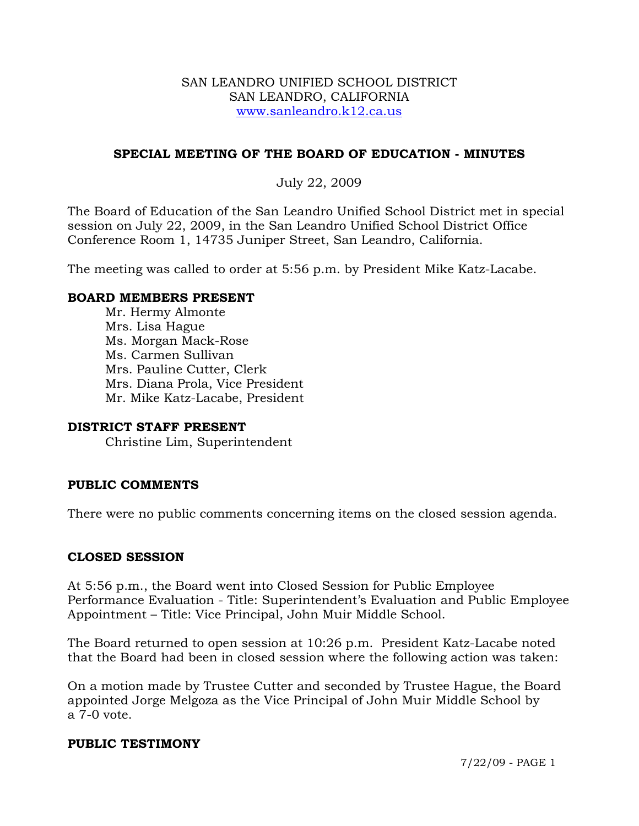#### SAN LEANDRO UNIFIED SCHOOL DISTRICT SAN LEANDRO, CALIFORNIA www.sanleandro.k12.ca.us

## **SPECIAL MEETING OF THE BOARD OF EDUCATION - MINUTES**

# July 22, 2009

The Board of Education of the San Leandro Unified School District met in special session on July 22, 2009, in the San Leandro Unified School District Office Conference Room 1, 14735 Juniper Street, San Leandro, California.

The meeting was called to order at 5:56 p.m. by President Mike Katz-Lacabe.

### **BOARD MEMBERS PRESENT**

Mr. Hermy Almonte Mrs. Lisa Hague Ms. Morgan Mack-Rose Ms. Carmen Sullivan Mrs. Pauline Cutter, Clerk Mrs. Diana Prola, Vice President Mr. Mike Katz-Lacabe, President

#### **DISTRICT STAFF PRESENT**

Christine Lim, Superintendent

## **PUBLIC COMMENTS**

There were no public comments concerning items on the closed session agenda.

## **CLOSED SESSION**

At 5:56 p.m., the Board went into Closed Session for Public Employee Performance Evaluation - Title: Superintendent's Evaluation and Public Employee Appointment – Title: Vice Principal, John Muir Middle School.

The Board returned to open session at 10:26 p.m. President Katz-Lacabe noted that the Board had been in closed session where the following action was taken:

On a motion made by Trustee Cutter and seconded by Trustee Hague, the Board appointed Jorge Melgoza as the Vice Principal of John Muir Middle School by a 7-0 vote.

#### **PUBLIC TESTIMONY**